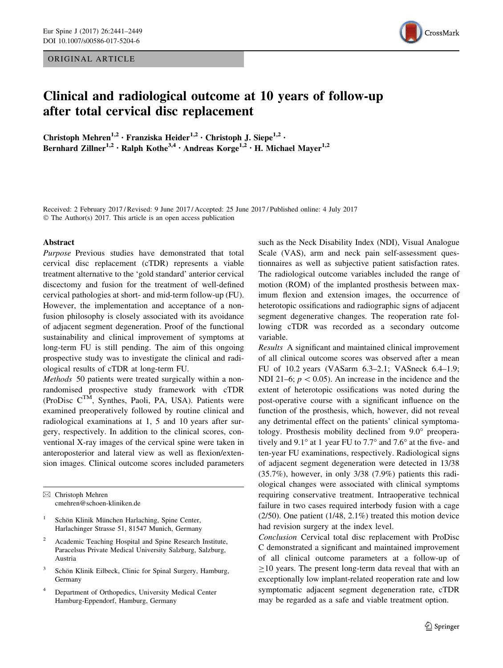ORIGINAL ARTICLE



# Clinical and radiological outcome at 10 years of follow-up after total cervical disc replacement

Christoph Mehren<sup>1,2</sup> · Franziska Heider<sup>1,2</sup> · Christoph J. Siepe<sup>1,2</sup> · Bernhard Zillner<sup>1,2</sup> · Ralph Kothe<sup>3,4</sup> · Andreas Korge<sup>1,2</sup> · H. Michael Mayer<sup>1,2</sup>

Received: 2 February 2017 / Revised: 9 June 2017 / Accepted: 25 June 2017 / Published online: 4 July 2017 © The Author(s) 2017. This article is an open access publication

#### Abstract

Purpose Previous studies have demonstrated that total cervical disc replacement (cTDR) represents a viable treatment alternative to the 'gold standard' anterior cervical discectomy and fusion for the treatment of well-defined cervical pathologies at short- and mid-term follow-up (FU). However, the implementation and acceptance of a nonfusion philosophy is closely associated with its avoidance of adjacent segment degeneration. Proof of the functional sustainability and clinical improvement of symptoms at long-term FU is still pending. The aim of this ongoing prospective study was to investigate the clinical and radiological results of cTDR at long-term FU.

Methods 50 patients were treated surgically within a nonrandomised prospective study framework with cTDR (ProDisc CTM, Synthes, Paoli, PA, USA). Patients were examined preoperatively followed by routine clinical and radiological examinations at 1, 5 and 10 years after surgery, respectively. In addition to the clinical scores, conventional X-ray images of the cervical spine were taken in anteroposterior and lateral view as well as flexion/extension images. Clinical outcome scores included parameters

 $\boxtimes$  Christoph Mehren cmehren@schoen-kliniken.de

- <sup>1</sup> Schön Klinik München Harlaching, Spine Center, Harlachinger Strasse 51, 81547 Munich, Germany
- <sup>2</sup> Academic Teaching Hospital and Spine Research Institute, Paracelsus Private Medical University Salzburg, Salzburg, Austria
- Schön Klinik Eilbeck, Clinic for Spinal Surgery, Hamburg, Germany
- Department of Orthopedics, University Medical Center Hamburg-Eppendorf, Hamburg, Germany

such as the Neck Disability Index (NDI), Visual Analogue Scale (VAS), arm and neck pain self-assessment questionnaires as well as subjective patient satisfaction rates. The radiological outcome variables included the range of motion (ROM) of the implanted prosthesis between maximum flexion and extension images, the occurrence of heterotopic ossifications and radiographic signs of adjacent segment degenerative changes. The reoperation rate following cTDR was recorded as a secondary outcome variable.

Results A significant and maintained clinical improvement of all clinical outcome scores was observed after a mean FU of 10.2 years (VASarm 6.3–2.1; VASneck 6.4–1.9; NDI 21–6;  $p < 0.05$ ). An increase in the incidence and the extent of heterotopic ossifications was noted during the post-operative course with a significant influence on the function of the prosthesis, which, however, did not reveal any detrimental effect on the patients' clinical symptomatology. Prosthesis mobility declined from 9.0° preoperatively and  $9.1^\circ$  at 1 year FU to 7.7° and 7.6° at the five- and ten-year FU examinations, respectively. Radiological signs of adjacent segment degeneration were detected in 13/38 (35.7%), however, in only 3/38 (7.9%) patients this radiological changes were associated with clinical symptoms requiring conservative treatment. Intraoperative technical failure in two cases required interbody fusion with a cage (2/50). One patient (1/48, 2.1%) treated this motion device had revision surgery at the index level.

Conclusion Cervical total disc replacement with ProDisc C demonstrated a significant and maintained improvement of all clinical outcome parameters at a follow-up of  $\geq$ 10 years. The present long-term data reveal that with an exceptionally low implant-related reoperation rate and low symptomatic adjacent segment degeneration rate, cTDR may be regarded as a safe and viable treatment option.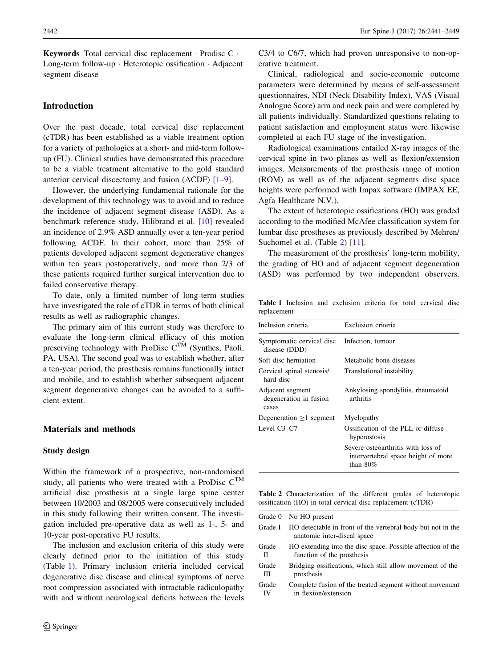**Keywords** Total cervical disc replacement  $\cdot$  Prodisc C  $\cdot$ Long-term follow-up - Heterotopic ossification - Adjacent segment disease

# Introduction

Over the past decade, total cervical disc replacement (cTDR) has been established as a viable treatment option for a variety of pathologies at a short- and mid-term followup (FU). Clinical studies have demonstrated this procedure to be a viable treatment alternative to the gold standard anterior cervical discectomy and fusion (ACDF) [[1–9](#page-7-0)].

However, the underlying fundamental rationale for the development of this technology was to avoid and to reduce the incidence of adjacent segment disease (ASD). As a benchmark reference study, Hilibrand et al. [\[10](#page-7-0)] revealed an incidence of 2.9% ASD annually over a ten-year period following ACDF. In their cohort, more than 25% of patients developed adjacent segment degenerative changes within ten years postoperatively, and more than 2/3 of these patients required further surgical intervention due to failed conservative therapy.

To date, only a limited number of long-term studies have investigated the role of cTDR in terms of both clinical results as well as radiographic changes.

The primary aim of this current study was therefore to evaluate the long-term clinical efficacy of this motion preserving technology with ProDisc C<sup>TM</sup> (Synthes, Paoli, PA, USA). The second goal was to establish whether, after a ten-year period, the prosthesis remains functionally intact and mobile, and to establish whether subsequent adjacent segment degenerative changes can be avoided to a sufficient extent.

## Materials and methods

## Study design

Within the framework of a prospective, non-randomised study, all patients who were treated with a ProDisc  $C^{TM}$ artificial disc prosthesis at a single large spine center between 10/2003 and 08/2005 were consecutively included in this study following their written consent. The investigation included pre-operative data as well as 1-, 5- and 10-year post-operative FU results.

The inclusion and exclusion criteria of this study were clearly defined prior to the initiation of this study (Table 1). Primary inclusion criteria included cervical degenerative disc disease and clinical symptoms of nerve root compression associated with intractable radiculopathy with and without neurological deficits between the levels

C3/4 to C6/7, which had proven unresponsive to non-operative treatment.

Clinical, radiological and socio-economic outcome parameters were determined by means of self-assessment questionnaires, NDI (Neck Disability Index), VAS (Visual Analogue Score) arm and neck pain and were completed by all patients individually. Standardized questions relating to patient satisfaction and employment status were likewise completed at each FU stage of the investigation.

Radiological examinations entailed X-ray images of the cervical spine in two planes as well as flexion/extension images. Measurements of the prosthesis range of motion (ROM) as well as of the adjacent segments disc space heights were performed with Impax software (IMPAX EE, Agfa Healthcare N.V.).

The extent of heterotopic ossifications (HO) was graded according to the modified McAfee classification system for lumbar disc prostheses as previously described by Mehren/ Suchomel et al. (Table 2) [[11\]](#page-7-0).

The measurement of the prosthesis' long-term mobility, the grading of HO and of adjacent segment degeneration (ASD) was performed by two independent observers.

Table 1 Inclusion and exclusion criteria for total cervical disc replacement

| Inclusion criteria                                  | Exclusion criteria                                                                       |
|-----------------------------------------------------|------------------------------------------------------------------------------------------|
| Symptomatic cervical disc<br>disease (DDD)          | Infection, tumour                                                                        |
| Soft disc herniation                                | Metabolic bone diseases                                                                  |
| Cervical spinal stenosis/<br>hard disc              | Translational instability                                                                |
| Adjacent segment<br>degeneration in fusion<br>cases | Ankylosing spondylitis, rheumatoid<br>arthritis                                          |
| Degeneration $\geq 1$ segment                       | Myelopathy                                                                               |
| Level C3–C7                                         | Ossification of the PLL or diffuse<br>hyperostosis                                       |
|                                                     | Severe osteoarthritis with loss of<br>intervertebral space height of more<br>than $80\%$ |

Table 2 Characterization of the different grades of heterotopic ossification (HO) in total cervical disc replacement (cTDR)

|         | Grade 0 No HO present                                                                      |
|---------|--------------------------------------------------------------------------------------------|
| Grade I | HO detectable in front of the vertebral body but not in the<br>anatomic inter-discal space |
| Grade   | HO extending into the disc space. Possible affection of the                                |
| П       | function of the prosthesis                                                                 |
| Grade   | Bridging ossifications, which still allow movement of the                                  |
| Ш       | prosthesis                                                                                 |
| Grade   | Complete fusion of the treated segment without movement                                    |
| IV      | in flexion/extension                                                                       |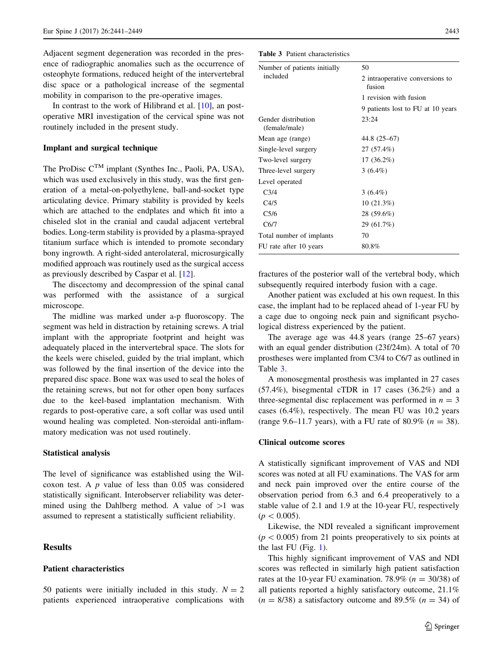Adjacent segment degeneration was recorded in the presence of radiographic anomalies such as the occurrence of osteophyte formations, reduced height of the intervertebral disc space or a pathological increase of the segmental mobility in comparison to the pre-operative images.

In contrast to the work of Hilibrand et al. [[10\]](#page-7-0), an postoperative MRI investigation of the cervical spine was not routinely included in the present study.

## Implant and surgical technique

The ProDisc  $C^{TM}$  implant (Synthes Inc., Paoli, PA, USA), which was used exclusively in this study, was the first generation of a metal-on-polyethylene, ball-and-socket type articulating device. Primary stability is provided by keels which are attached to the endplates and which fit into a chiseled slot in the cranial and caudal adjacent vertebral bodies. Long-term stability is provided by a plasma-sprayed titanium surface which is intended to promote secondary bony ingrowth. A right-sided anterolateral, microsurgically modified approach was routinely used as the surgical access as previously described by Caspar et al. [\[12](#page-7-0)].

The discectomy and decompression of the spinal canal was performed with the assistance of a surgical microscope.

The midline was marked under a-p fluoroscopy. The segment was held in distraction by retaining screws. A trial implant with the appropriate footprint and height was adequately placed in the intervertebral space. The slots for the keels were chiseled, guided by the trial implant, which was followed by the final insertion of the device into the prepared disc space. Bone wax was used to seal the holes of the retaining screws, but not for other open bony surfaces due to the keel-based implantation mechanism. With regards to post-operative care, a soft collar was used until wound healing was completed. Non-steroidal anti-inflammatory medication was not used routinely.

#### Statistical analysis

The level of significance was established using the Wilcoxon test. A  $p$  value of less than 0.05 was considered statistically significant. Interobserver reliability was determined using the Dahlberg method. A value of  $>1$  was assumed to represent a statistically sufficient reliability.

## **Results**

# Patient characteristics

50 patients were initially included in this study.  $N = 2$ patients experienced intraoperative complications with Table 3 Patient characteristics

| Number of patients initially<br>included | 50                                        |
|------------------------------------------|-------------------------------------------|
|                                          | 2 intraoperative conversions to<br>fusion |
|                                          | 1 revision with fusion                    |
|                                          | 9 patients lost to FU at 10 years         |
| Gender distribution<br>(female/male)     | 23:24                                     |
| Mean age (range)                         | 44.8 (25–67)                              |
| Single-level surgery                     | 27 (57.4%)                                |
| Two-level surgery                        | $17(36.2\%)$                              |
| Three-level surgery                      | $3(6.4\%)$                                |
| Level operated                           |                                           |
| C <sub>3/4</sub>                         | $3(6.4\%)$                                |
| C4/5                                     | 10(21.3%)                                 |
| C <sub>5/6</sub>                         | 28 (59.6%)                                |
| C6/7                                     | 29 (61.7%)                                |
| Total number of implants                 | 70                                        |
| FU rate after 10 years                   | 80.8%                                     |

fractures of the posterior wall of the vertebral body, which subsequently required interbody fusion with a cage.

Another patient was excluded at his own request. In this case, the implant had to be replaced ahead of 1-year FU by a cage due to ongoing neck pain and significant psychological distress experienced by the patient.

The average age was 44.8 years (range 25–67 years) with an equal gender distribution (23f/24m). A total of 70 prostheses were implanted from C3/4 to C6/7 as outlined in Table 3.

A monosegmental prosthesis was implanted in 27 cases  $(57.4\%)$ , bisegmental cTDR in 17 cases  $(36.2\%)$  and a three-segmental disc replacement was performed in  $n = 3$ cases (6.4%), respectively. The mean FU was 10.2 years (range 9.6–11.7 years), with a FU rate of 80.9% ( $n = 38$ ).

## Clinical outcome scores

A statistically significant improvement of VAS and NDI scores was noted at all FU examinations. The VAS for arm and neck pain improved over the entire course of the observation period from 6.3 and 6.4 preoperatively to a stable value of 2.1 and 1.9 at the 10-year FU, respectively  $(p<0.005)$ .

Likewise, the NDI revealed a significant improvement  $(p<0.005)$  from 21 points preoperatively to six points at the last FU (Fig. [1](#page-3-0)).

This highly significant improvement of VAS and NDI scores was reflected in similarly high patient satisfaction rates at the 10-year FU examination. 78.9% ( $n = 30/38$ ) of all patients reported a highly satisfactory outcome, 21.1%  $(n = 8/38)$  a satisfactory outcome and 89.5%  $(n = 34)$  of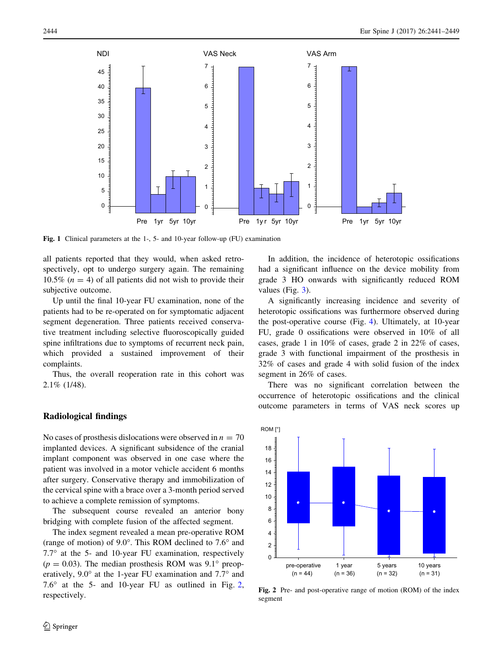<span id="page-3-0"></span>

Fig. 1 Clinical parameters at the 1-, 5- and 10-year follow-up (FU) examination

all patients reported that they would, when asked retrospectively, opt to undergo surgery again. The remaining 10.5% ( $n = 4$ ) of all patients did not wish to provide their subjective outcome.

Up until the final 10-year FU examination, none of the patients had to be re-operated on for symptomatic adjacent segment degeneration. Three patients received conservative treatment including selective fluoroscopically guided spine infiltrations due to symptoms of recurrent neck pain, which provided a sustained improvement of their complaints.

Thus, the overall reoperation rate in this cohort was 2.1% (1/48).

# Radiological findings

No cases of prosthesis dislocations were observed in  $n = 70$ implanted devices. A significant subsidence of the cranial implant component was observed in one case where the patient was involved in a motor vehicle accident 6 months after surgery. Conservative therapy and immobilization of the cervical spine with a brace over a 3-month period served to achieve a complete remission of symptoms.

The subsequent course revealed an anterior bony bridging with complete fusion of the affected segment.

The index segment revealed a mean pre-operative ROM (range of motion) of  $9.0^{\circ}$ . This ROM declined to  $7.6^{\circ}$  and  $7.7^\circ$  at the 5- and 10-year FU examination, respectively  $(p = 0.03)$ . The median prosthesis ROM was 9.1° preoperatively,  $9.0^{\circ}$  at the 1-year FU examination and  $7.7^{\circ}$  and 7.6 $\degree$  at the 5- and 10-year FU as outlined in Fig. 2, respectively.

In addition, the incidence of heterotopic ossifications had a significant influence on the device mobility from grade 3 HO onwards with significantly reduced ROM values (Fig. [3](#page-4-0)).

A significantly increasing incidence and severity of heterotopic ossifications was furthermore observed during the post-operative course (Fig. [4](#page-4-0)). Ultimately, at 10-year FU, grade 0 ossifications were observed in 10% of all cases, grade 1 in 10% of cases, grade 2 in 22% of cases, grade 3 with functional impairment of the prosthesis in 32% of cases and grade 4 with solid fusion of the index segment in 26% of cases.

There was no significant correlation between the occurrence of heterotopic ossifications and the clinical outcome parameters in terms of VAS neck scores up



Fig. 2 Pre- and post-operative range of motion (ROM) of the index segment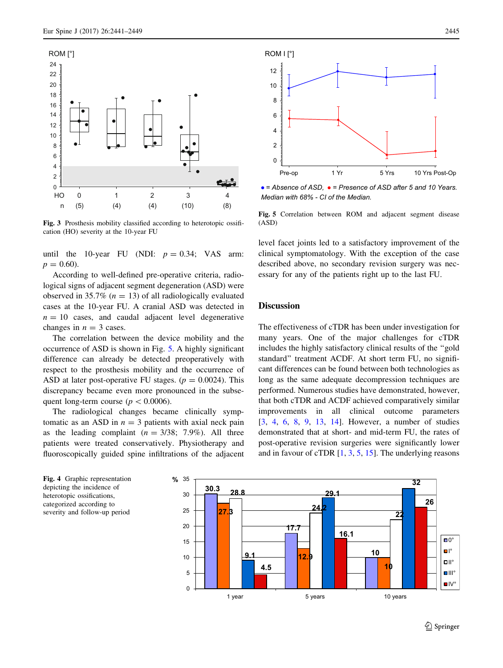<span id="page-4-0"></span>

Fig. 3 Prosthesis mobility classified according to heterotopic ossification (HO) severity at the 10-year FU

until the 10-year FU (NDI:  $p = 0.34$ ; VAS arm:  $p = 0.60$ ).

According to well-defined pre-operative criteria, radiological signs of adjacent segment degeneration (ASD) were observed in 35.7% ( $n = 13$ ) of all radiologically evaluated cases at the 10-year FU. A cranial ASD was detected in  $n = 10$  cases, and caudal adjacent level degenerative changes in  $n = 3$  cases.

The correlation between the device mobility and the occurrence of ASD is shown in Fig. 5. A highly significant difference can already be detected preoperatively with respect to the prosthesis mobility and the occurrence of ASD at later post-operative FU stages. ( $p = 0.0024$ ). This discrepancy became even more pronounced in the subsequent long-term course ( $p < 0.0006$ ).

The radiological changes became clinically symptomatic as an ASD in  $n = 3$  patients with axial neck pain as the leading complaint  $(n = 3/38; 7.9\%)$ . All three patients were treated conservatively. Physiotherapy and fluoroscopically guided spine infiltrations of the adjacent



*● = Absence of ASD,* ● *= Presence of ASD after 5 and 10 Years. Median with 68% - CI of the Median.* 

Fig. 5 Correlation between ROM and adjacent segment disease (ASD)

level facet joints led to a satisfactory improvement of the clinical symptomatology. With the exception of the case described above, no secondary revision surgery was necessary for any of the patients right up to the last FU.

## **Discussion**

The effectiveness of cTDR has been under investigation for many years. One of the major challenges for cTDR includes the highly satisfactory clinical results of the ''gold standard'' treatment ACDF. At short term FU, no significant differences can be found between both technologies as long as the same adequate decompression techniques are performed. Numerous studies have demonstrated, however, that both cTDR and ACDF achieved comparatively similar improvements in all clinical outcome parameters [\[3](#page-7-0), [4](#page-7-0), [6](#page-7-0), [8,](#page-7-0) [9,](#page-7-0) [13,](#page-7-0) [14](#page-7-0)]. However, a number of studies demonstrated that at short- and mid-term FU, the rates of post-operative revision surgeries were significantly lower and in favour of cTDR [[1,](#page-7-0) [3](#page-7-0), [5](#page-7-0), [15](#page-7-0)]. The underlying reasons



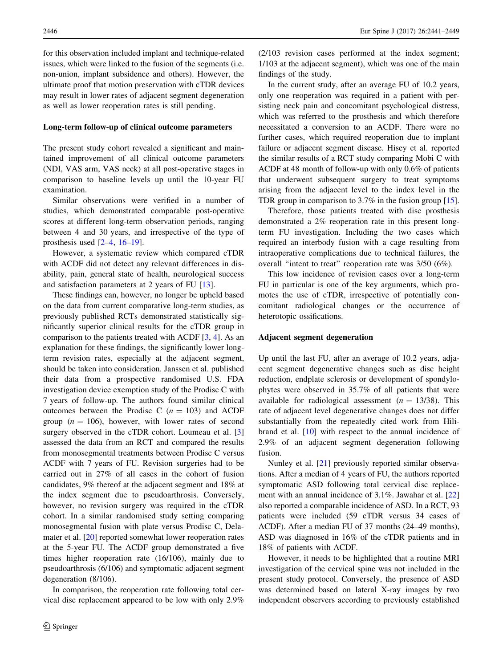for this observation included implant and technique-related issues, which were linked to the fusion of the segments (i.e. non-union, implant subsidence and others). However, the ultimate proof that motion preservation with cTDR devices may result in lower rates of adjacent segment degeneration as well as lower reoperation rates is still pending.

#### Long-term follow-up of clinical outcome parameters

The present study cohort revealed a significant and maintained improvement of all clinical outcome parameters (NDI, VAS arm, VAS neck) at all post-operative stages in comparison to baseline levels up until the 10-year FU examination.

Similar observations were verified in a number of studies, which demonstrated comparable post-operative scores at different long-term observation periods, ranging between 4 and 30 years, and irrespective of the type of prosthesis used [\[2–4](#page-7-0), [16](#page-7-0)–[19\]](#page-7-0).

However, a systematic review which compared cTDR with ACDF did not detect any relevant differences in disability, pain, general state of health, neurological success and satisfaction parameters at 2 years of FU [\[13](#page-7-0)].

These findings can, however, no longer be upheld based on the data from current comparative long-term studies, as previously published RCTs demonstrated statistically significantly superior clinical results for the cTDR group in comparison to the patients treated with ACDF [\[3](#page-7-0), [4\]](#page-7-0). As an explanation for these findings, the significantly lower longterm revision rates, especially at the adjacent segment, should be taken into consideration. Janssen et al. published their data from a prospective randomised U.S. FDA investigation device exemption study of the Prodisc C with 7 years of follow-up. The authors found similar clinical outcomes between the Prodisc C  $(n = 103)$  and ACDF group ( $n = 106$ ), however, with lower rates of second surgery observed in the cTDR cohort. Loumeau et al. [[3\]](#page-7-0) assessed the data from an RCT and compared the results from monosegmental treatments between Prodisc C versus ACDF with 7 years of FU. Revision surgeries had to be carried out in 27% of all cases in the cohort of fusion candidates, 9% thereof at the adjacent segment and 18% at the index segment due to pseudoarthrosis. Conversely, however, no revision surgery was required in the cTDR cohort. In a similar randomised study setting comparing monosegmental fusion with plate versus Prodisc C, Delamater et al. [[20\]](#page-7-0) reported somewhat lower reoperation rates at the 5-year FU. The ACDF group demonstrated a five times higher reoperation rate (16/106), mainly due to pseudoarthrosis (6/106) and symptomatic adjacent segment degeneration (8/106).

In comparison, the reoperation rate following total cervical disc replacement appeared to be low with only 2.9% (2/103 revision cases performed at the index segment; 1/103 at the adjacent segment), which was one of the main findings of the study.

In the current study, after an average FU of 10.2 years, only one reoperation was required in a patient with persisting neck pain and concomitant psychological distress, which was referred to the prosthesis and which therefore necessitated a conversion to an ACDF. There were no further cases, which required reoperation due to implant failure or adjacent segment disease. Hisey et al. reported the similar results of a RCT study comparing Mobi C with ACDF at 48 month of follow-up with only 0.6% of patients that underwent subsequent surgery to treat symptoms arising from the adjacent level to the index level in the TDR group in comparison to 3.7% in the fusion group [\[15](#page-7-0)].

Therefore, those patients treated with disc prosthesis demonstrated a 2% reoperation rate in this present longterm FU investigation. Including the two cases which required an interbody fusion with a cage resulting from intraoperative complications due to technical failures, the overall ''intent to treat'' reoperation rate was 3/50 (6%).

This low incidence of revision cases over a long-term FU in particular is one of the key arguments, which promotes the use of cTDR, irrespective of potentially concomitant radiological changes or the occurrence of heterotopic ossifications.

#### Adjacent segment degeneration

Up until the last FU, after an average of 10.2 years, adjacent segment degenerative changes such as disc height reduction, endplate sclerosis or development of spondylophytes were observed in 35.7% of all patients that were available for radiological assessment  $(n = 13/38)$ . This rate of adjacent level degenerative changes does not differ substantially from the repeatedly cited work from Hilibrand et al. [[10\]](#page-7-0) with respect to the annual incidence of 2.9% of an adjacent segment degeneration following fusion.

Nunley et al. [\[21](#page-7-0)] previously reported similar observations. After a median of 4 years of FU, the authors reported symptomatic ASD following total cervical disc replacement with an annual incidence of 3.1%. Jawahar et al. [[22\]](#page-7-0) also reported a comparable incidence of ASD. In a RCT, 93 patients were included (59 cTDR versus 34 cases of ACDF). After a median FU of 37 months (24–49 months), ASD was diagnosed in 16% of the cTDR patients and in 18% of patients with ACDF.

However, it needs to be highlighted that a routine MRI investigation of the cervical spine was not included in the present study protocol. Conversely, the presence of ASD was determined based on lateral X-ray images by two independent observers according to previously established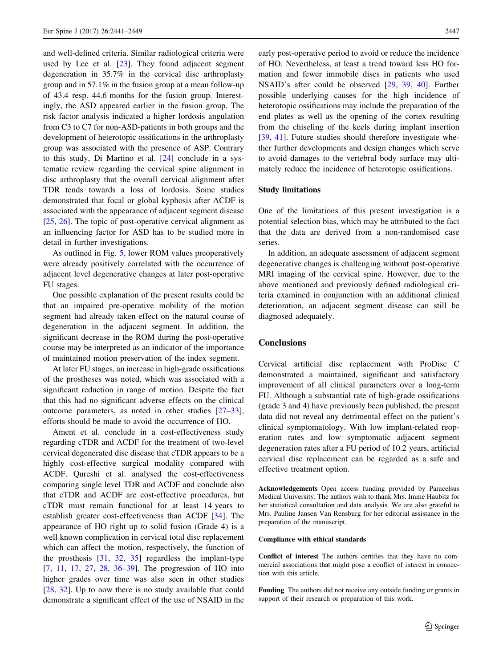and well-defined criteria. Similar radiological criteria were used by Lee et al.  $[23]$  $[23]$ . They found adjacent segment degeneration in 35.7% in the cervical disc arthroplasty group and in 57.1% in the fusion group at a mean follow-up of 43.4 resp. 44.6 months for the fusion group. Interestingly, the ASD appeared earlier in the fusion group. The risk factor analysis indicated a higher lordosis angulation from C3 to C7 for non-ASD-patients in both groups and the development of heterotopic ossifications in the arthroplasty group was associated with the presence of ASP. Contrary to this study, Di Martino et al. [[24\]](#page-7-0) conclude in a systematic review regarding the cervical spine alignment in disc arthroplasty that the overall cervical alignment after TDR tends towards a loss of lordosis. Some studies demonstrated that focal or global kyphosis after ACDF is associated with the appearance of adjacent segment disease [\[25](#page-7-0), [26\]](#page-7-0). The topic of post-operative cervical alignment as an influencing factor for ASD has to be studied more in detail in further investigations.

As outlined in Fig. [5](#page-4-0), lower ROM values preoperatively were already positively correlated with the occurrence of adjacent level degenerative changes at later post-operative FU stages.

One possible explanation of the present results could be that an impaired pre-operative mobility of the motion segment had already taken effect on the natural course of degeneration in the adjacent segment. In addition, the significant decrease in the ROM during the post-operative course may be interpreted as an indicator of the importance of maintained motion preservation of the index segment.

At later FU stages, an increase in high-grade ossifications of the prostheses was noted, which was associated with a significant reduction in range of motion. Despite the fact that this had no significant adverse effects on the clinical outcome parameters, as noted in other studies [\[27](#page-7-0)[–33](#page-8-0)], efforts should be made to avoid the occurrence of HO.

Ament et al. conclude in a cost-effectiveness study regarding cTDR and ACDF for the treatment of two-level cervical degenerated disc disease that cTDR appears to be a highly cost-effective surgical modality compared with ACDF. Qureshi et al. analysed the cost-effectiveness comparing single level TDR and ACDF and conclude also that cTDR and ACDF are cost-effective procedures, but cTDR must remain functional for at least 14 years to establish greater cost-effectiveness than ACDF [[34\]](#page-8-0). The appearance of HO right up to solid fusion (Grade 4) is a well known complication in cervical total disc replacement which can affect the motion, respectively, the function of the prosthesis [\[31](#page-8-0), [32](#page-8-0), [35](#page-8-0)] regardless the implant-type [\[7](#page-7-0), [11](#page-7-0), [17,](#page-7-0) [27,](#page-7-0) [28,](#page-7-0) [36–39\]](#page-8-0). The progression of HO into higher grades over time was also seen in other studies [\[28](#page-7-0), [32](#page-8-0)]. Up to now there is no study available that could demonstrate a significant effect of the use of NSAID in the early post-operative period to avoid or reduce the incidence of HO. Nevertheless, at least a trend toward less HO formation and fewer immobile discs in patients who used NSAID's after could be observed [[29,](#page-8-0) [39](#page-8-0), [40\]](#page-8-0). Further possible underlying causes for the high incidence of heterotopic ossifications may include the preparation of the end plates as well as the opening of the cortex resulting from the chiseling of the keels during implant insertion [\[39](#page-8-0), [41\]](#page-8-0). Future studies should therefore investigate whether further developments and design changes which serve to avoid damages to the vertebral body surface may ultimately reduce the incidence of heterotopic ossifications.

#### Study limitations

One of the limitations of this present investigation is a potential selection bias, which may be attributed to the fact that the data are derived from a non-randomised case series.

In addition, an adequate assessment of adjacent segment degenerative changes is challenging without post-operative MRI imaging of the cervical spine. However, due to the above mentioned and previously defined radiological criteria examined in conjunction with an additional clinical deterioration, an adjacent segment disease can still be diagnosed adequately.

# **Conclusions**

Cervical artificial disc replacement with ProDisc C demonstrated a maintained, significant and satisfactory improvement of all clinical parameters over a long-term FU. Although a substantial rate of high-grade ossifications (grade 3 and 4) have previously been published, the present data did not reveal any detrimental effect on the patient's clinical symptomatology. With low implant-related reoperation rates and low symptomatic adjacent segment degeneration rates after a FU period of 10.2 years, artificial cervical disc replacement can be regarded as a safe and effective treatment option.

Acknowledgements Open access funding provided by Paracelsus Medical University. The authors wish to thank Mrs. Imme Haubitz for her statistical consultation and data analysis. We are also grateful to Mrs. Pauline Jansen Van Rensburg for her editorial assistance in the preparation of the manuscript.

#### Compliance with ethical standards

Conflict of interest The authors certifies that they have no commercial associations that might pose a conflict of interest in connection with this article.

Funding The authors did not receive any outside funding or grants in support of their research or preparation of this work.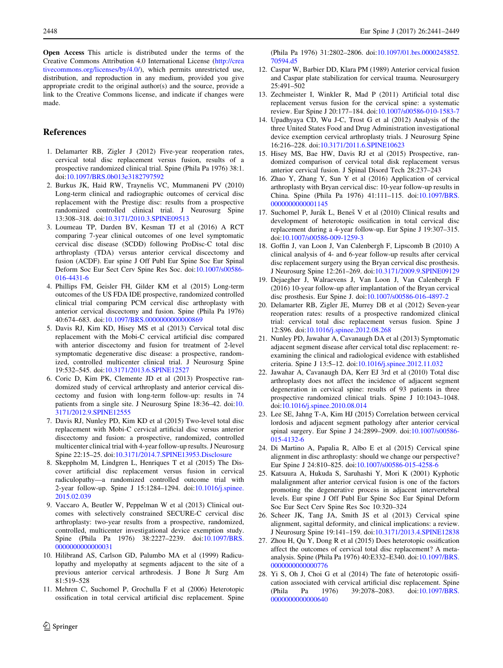<span id="page-7-0"></span>Open Access This article is distributed under the terms of the Creative Commons Attribution 4.0 International License ([http://crea](http://creativecommons.org/licenses/by/4.0/) [tivecommons.org/licenses/by/4.0/\)](http://creativecommons.org/licenses/by/4.0/), which permits unrestricted use, distribution, and reproduction in any medium, provided you give appropriate credit to the original author(s) and the source, provide a link to the Creative Commons license, and indicate if changes were made.

## References

- 1. Delamarter RB, Zigler J (2012) Five-year reoperation rates, cervical total disc replacement versus fusion, results of a prospective randomized clinical trial. Spine (Phila Pa 1976) 38:1. doi:[10.1097/BRS.0b013e3182797592](http://dx.doi.org/10.1097/BRS.0b013e3182797592)
- 2. Burkus JK, Haid RW, Traynelis VC, Mummaneni PV (2010) Long-term clinical and radiographic outcomes of cervical disc replacement with the Prestige disc: results from a prospective randomized controlled clinical trial. J Neurosurg Spine 13:308–318. doi[:10.3171/2010.3.SPINE09513](http://dx.doi.org/10.3171/2010.3.SPINE09513)
- 3. Loumeau TP, Darden BV, Kesman TJ et al (2016) A RCT comparing 7-year clinical outcomes of one level symptomatic cervical disc disease (SCDD) following ProDisc-C total disc arthroplasty (TDA) versus anterior cervical discectomy and fusion (ACDF). Eur spine J Off Publ Eur Spine Soc Eur Spinal Deform Soc Eur Sect Cerv Spine Res Soc. doi:[10.1007/s00586-](http://dx.doi.org/10.1007/s00586-016-4431-6) [016-4431-6](http://dx.doi.org/10.1007/s00586-016-4431-6)
- 4. Phillips FM, Geisler FH, Gilder KM et al (2015) Long-term outcomes of the US FDA IDE prospective, randomized controlled clinical trial comparing PCM cervical disc arthroplasty with anterior cervical discectomy and fusion. Spine (Phila Pa 1976) 40:674–683. doi[:10.1097/BRS.0000000000000869](http://dx.doi.org/10.1097/BRS.0000000000000869)
- 5. Davis RJ, Kim KD, Hisey MS et al (2013) Cervical total disc replacement with the Mobi-C cervical artificial disc compared with anterior discectomy and fusion for treatment of 2-level symptomatic degenerative disc disease: a prospective, randomized, controlled multicenter clinical trial. J Neurosurg Spine 19:532–545. doi[:10.3171/2013.6.SPINE12527](http://dx.doi.org/10.3171/2013.6.SPINE12527)
- 6. Coric D, Kim PK, Clemente JD et al (2013) Prospective randomized study of cervical arthroplasty and anterior cervical discectomy and fusion with long-term follow-up: results in 74 patients from a single site. J Neurosurg Spine 18:36–42. doi:[10.](http://dx.doi.org/10.3171/2012.9.SPINE12555) [3171/2012.9.SPINE12555](http://dx.doi.org/10.3171/2012.9.SPINE12555)
- 7. Davis RJ, Nunley PD, Kim KD et al (2015) Two-level total disc replacement with Mobi-C cervical artificial disc versus anterior discectomy and fusion: a prospective, randomized, controlled multicenter clinical trial with 4-year follow-up results. J Neurosurg Spine 22:15–25. doi:[10.3171/2014.7.SPINE13953.Disclosure](http://dx.doi.org/10.3171/2014.7.SPINE13953.Disclosure)
- 8. Skeppholm M, Lindgren L, Henriques T et al (2015) The Discover artificial disc replacement versus fusion in cervical radiculopathy—a randomized controlled outcome trial with 2-year follow-up. Spine J 15:1284–1294. doi:[10.1016/j.spinee.](http://dx.doi.org/10.1016/j.spinee.2015.02.039) [2015.02.039](http://dx.doi.org/10.1016/j.spinee.2015.02.039)
- 9. Vaccaro A, Beutler W, Peppelman W et al (2013) Clinical outcomes with selectively constrained SECURE-C cervical disc arthroplasty: two-year results from a prospective, randomized, controlled, multicenter investigational device exemption study. Spine (Phila Pa 1976) 38:2227–2239. doi[:10.1097/BRS.](http://dx.doi.org/10.1097/BRS.0000000000000031) [0000000000000031](http://dx.doi.org/10.1097/BRS.0000000000000031)
- 10. Hilibrand AS, Carlson GD, Palumbo MA et al (1999) Radiculopathy and myelopathy at segments adjacent to the site of a previous anterior cervical arthrodesis. J Bone Jt Surg Am 81:519–528
- 11. Mehren C, Suchomel P, Grochulla F et al (2006) Heterotopic ossification in total cervical artificial disc replacement. Spine

(Phila Pa 1976) 31:2802–2806. doi:[10.1097/01.brs.0000245852.](http://dx.doi.org/10.1097/01.brs.0000245852.70594.d5) [70594.d5](http://dx.doi.org/10.1097/01.brs.0000245852.70594.d5)

- 12. Caspar W, Barbier DD, Klara PM (1989) Anterior cervical fusion and Caspar plate stabilization for cervical trauma. Neurosurgery 25:491–502
- 13. Zechmeister I, Winkler R, Mad P (2011) Artificial total disc replacement versus fusion for the cervical spine: a systematic review. Eur Spine J 20:177–184. doi:[10.1007/s00586-010-1583-7](http://dx.doi.org/10.1007/s00586-010-1583-7)
- 14. Upadhyaya CD, Wu J-C, Trost G et al (2012) Analysis of the three United States Food and Drug Administration investigational device exemption cervical arthroplasty trials. J Neurosurg Spine 16:216–228. doi[:10.3171/2011.6.SPINE10623](http://dx.doi.org/10.3171/2011.6.SPINE10623)
- 15. Hisey MS, Bae HW, Davis RJ et al (2015) Prospective, randomized comparison of cervical total disk replacement versus anterior cervical fusion. J Spinal Disord Tech 28:237–243
- 16. Zhao Y, Zhang Y, Sun Y et al (2016) Application of cervical arthroplasty with Bryan cervical disc: 10-year follow-up results in China. Spine (Phila Pa 1976) 41:111–115. doi[:10.1097/BRS.](http://dx.doi.org/10.1097/BRS.0000000000001145) [0000000000001145](http://dx.doi.org/10.1097/BRS.0000000000001145)
- 17. Suchomel P, Jurák L, Beneš V et al (2010) Clinical results and development of heterotopic ossification in total cervical disc replacement during a 4-year follow-up. Eur Spine J 19:307–315. doi:[10.1007/s00586-009-1259-3](http://dx.doi.org/10.1007/s00586-009-1259-3)
- 18. Goffin J, van Loon J, Van Calenbergh F, Lipscomb B (2010) A clinical analysis of 4- and 6-year follow-up results after cervical disc replacement surgery using the Bryan cervical disc prosthesis. J Neurosurg Spine 12:261–269. doi[:10.3171/2009.9.SPINE09129](http://dx.doi.org/10.3171/2009.9.SPINE09129)
- 19. Dejaegher J, Walraevens J, Van Loon J, Van Calenbergh F (2016) 10-year follow-up after implantation of the Bryan cervical disc prosthesis. Eur Spine J. doi:[10.1007/s00586-016-4897-2](http://dx.doi.org/10.1007/s00586-016-4897-2)
- 20. Delamarter RB, Zigler JE, Murrey DB et al (2012) Seven-year reoperation rates: results of a prospective randomized clinical trial: cervical total disc replacement versus fusion. Spine J 12:S96. doi:[10.1016/j.spinee.2012.08.268](http://dx.doi.org/10.1016/j.spinee.2012.08.268)
- 21. Nunley PD, Jawahar A, Cavanaugh DA et al (2013) Symptomatic adjacent segment disease after cervical total disc replacement: reexamining the clinical and radiological evidence with established criteria. Spine J 13:5–12. doi[:10.1016/j.spinee.2012.11.032](http://dx.doi.org/10.1016/j.spinee.2012.11.032)
- 22. Jawahar A, Cavanaugh DA, Kerr EJ 3rd et al (2010) Total disc arthroplasty does not affect the incidence of adjacent segment degeneration in cervical spine: results of 93 patients in three prospective randomized clinical trials. Spine J 10:1043–1048. doi:[10.1016/j.spinee.2010.08.014](http://dx.doi.org/10.1016/j.spinee.2010.08.014)
- 23. Lee SE, Jahng T-A, Kim HJ (2015) Correlation between cervical lordosis and adjacent segment pathology after anterior cervical spinal surgery. Eur Spine J 24:2899–2909. doi[:10.1007/s00586-](http://dx.doi.org/10.1007/s00586-015-4132-6) [015-4132-6](http://dx.doi.org/10.1007/s00586-015-4132-6)
- 24. Di Martino A, Papalia R, Albo E et al (2015) Cervical spine alignment in disc arthroplasty: should we change our perspective? Eur Spine J 24:810–825. doi:[10.1007/s00586-015-4258-6](http://dx.doi.org/10.1007/s00586-015-4258-6)
- 25. Katsuura A, Hukuda S, Saruhashi Y, Mori K (2001) Kyphotic malalignment after anterior cervical fusion is one of the factors promoting the degenerative process in adjacent intervertebral levels. Eur spine J Off Publ Eur Spine Soc Eur Spinal Deform Soc Eur Sect Cerv Spine Res Soc 10:320–324
- 26. Scheer JK, Tang JA, Smith JS et al (2013) Cervical spine alignment, sagittal deformity, and clinical implications: a review. J Neurosurg Spine 19:141–159. doi[:10.3171/2013.4.SPINE12838](http://dx.doi.org/10.3171/2013.4.SPINE12838)
- 27. Zhou H, Qu Y, Dong R et al (2015) Does heterotopic ossification affect the outcomes of cervical total disc replacement? A metaanalysis. Spine (Phila Pa 1976) 40:E332–E340. doi[:10.1097/BRS.](http://dx.doi.org/10.1097/BRS.0000000000000776) [0000000000000776](http://dx.doi.org/10.1097/BRS.0000000000000776)
- 28. Yi S, Oh J, Choi G et al (2014) The fate of heterotopic ossification associated with cervical artificial disc replacement. Spine (Phila Pa 1976) 39:2078–2083. doi[:10.1097/BRS.](http://dx.doi.org/10.1097/BRS.0000000000000640) [0000000000000640](http://dx.doi.org/10.1097/BRS.0000000000000640)